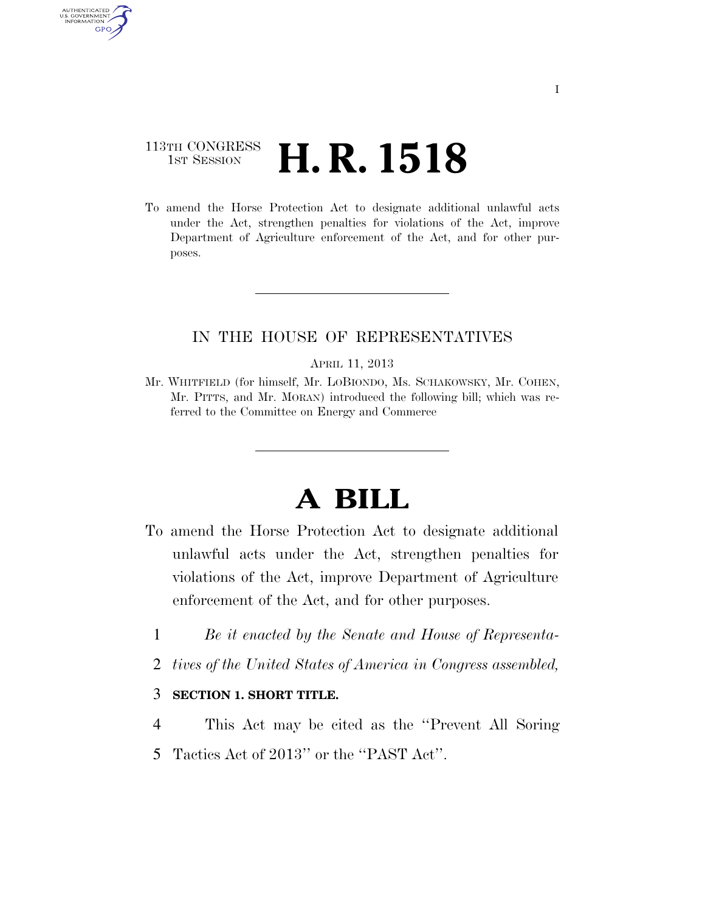## 113TH CONGRESS <sup>TH CONGRESS</sup>  $\,$  **H. R. 1518**

AUTHENTICATED U.S. GOVERNMENT **GPO** 

> To amend the Horse Protection Act to designate additional unlawful acts under the Act, strengthen penalties for violations of the Act, improve Department of Agriculture enforcement of the Act, and for other purposes.

## IN THE HOUSE OF REPRESENTATIVES

#### APRIL 11, 2013

Mr. WHITFIELD (for himself, Mr. LOBIONDO, Ms. SCHAKOWSKY, Mr. COHEN, Mr. PITTS, and Mr. MORAN) introduced the following bill; which was referred to the Committee on Energy and Commerce

# **A BILL**

- To amend the Horse Protection Act to designate additional unlawful acts under the Act, strengthen penalties for violations of the Act, improve Department of Agriculture enforcement of the Act, and for other purposes.
	- 1 *Be it enacted by the Senate and House of Representa-*
	- 2 *tives of the United States of America in Congress assembled,*

### 3 **SECTION 1. SHORT TITLE.**

- 4 This Act may be cited as the ''Prevent All Soring
- 5 Tactics Act of 2013'' or the ''PAST Act''.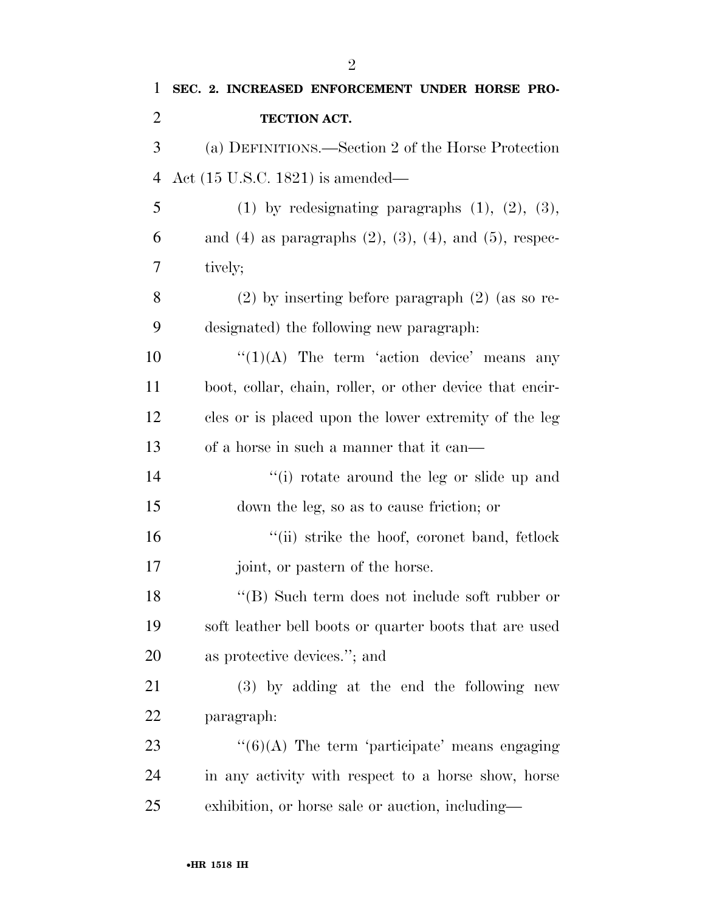| 1              | SEC. 2. INCREASED ENFORCEMENT UNDER HORSE PRO-                      |
|----------------|---------------------------------------------------------------------|
| $\overline{2}$ | TECTION ACT.                                                        |
| 3              | (a) DEFINITIONS.—Section 2 of the Horse Protection                  |
| $\overline{4}$ | Act $(15 \text{ U.S.C. } 1821)$ is amended—                         |
| 5              | $(1)$ by redesignating paragraphs $(1)$ , $(2)$ , $(3)$ ,           |
| 6              | and $(4)$ as paragraphs $(2)$ , $(3)$ , $(4)$ , and $(5)$ , respec- |
| 7              | tively;                                                             |
| 8              | $(2)$ by inserting before paragraph $(2)$ (as so re-                |
| 9              | designated) the following new paragraph:                            |
| 10             | $\lq(1)(A)$ The term 'action device' means any                      |
| 11             | boot, collar, chain, roller, or other device that encir-            |
| 12             | cles or is placed upon the lower extremity of the leg               |
| 13             | of a horse in such a manner that it can—                            |
| 14             | "(i) rotate around the leg or slide up and                          |
| 15             | down the leg, so as to cause friction; or                           |
| 16             | "(ii) strike the hoof, coronet band, fetlock                        |
| 17             | joint, or pastern of the horse.                                     |
| 18             | "(B) Such term does not include soft rubber or                      |
| 19             | soft leather bell boots or quarter boots that are used              |
| 20             | as protective devices."; and                                        |
| 21             | (3) by adding at the end the following new                          |
| 22             | paragraph:                                                          |
| 23             | $\lq(6)(A)$ The term 'participate' means engaging                   |
| 24             | in any activity with respect to a horse show, horse                 |
| 25             | exhibition, or horse sale or auction, including—                    |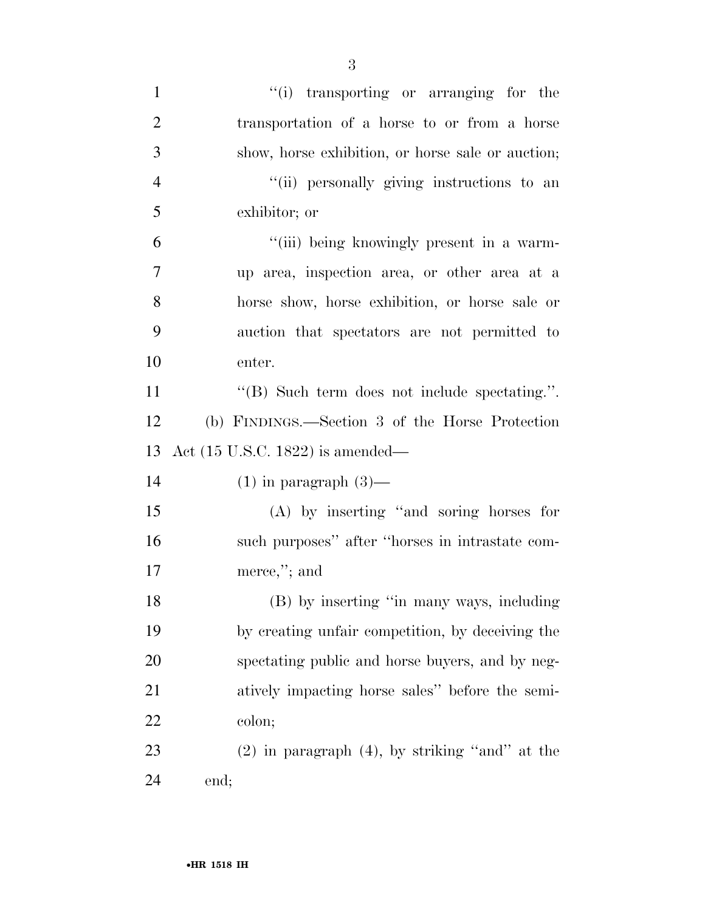| $\mathbf{1}$   | "(i) transporting or arranging for the              |
|----------------|-----------------------------------------------------|
| $\overline{2}$ | transportation of a horse to or from a horse        |
| 3              | show, horse exhibition, or horse sale or auction;   |
| $\overline{4}$ | "(ii) personally giving instructions to an          |
| 5              | exhibitor; or                                       |
| 6              | "(iii) being knowingly present in a warm-           |
| 7              | up area, inspection area, or other area at a        |
| 8              | horse show, horse exhibition, or horse sale or      |
| 9              | auction that spectators are not permitted to        |
| 10             | enter.                                              |
| 11             | "(B) Such term does not include spectating.".       |
| 12             | (b) FINDINGS.—Section 3 of the Horse Protection     |
|                |                                                     |
| 13             | Act (15 U.S.C. 1822) is amended—                    |
| 14             | $(1)$ in paragraph $(3)$ —                          |
| 15             | $(A)$ by inserting "and soring horses for           |
| 16             | such purposes" after "horses in intrastate com-     |
| 17             | merce,"; and                                        |
| 18             | (B) by inserting "in many ways, including           |
| 19             | by creating unfair competition, by deceiving the    |
| 20             | spectating public and horse buyers, and by neg-     |
| 21             | atively impacting horse sales" before the semi-     |
| 22             | colon;                                              |
| 23             | $(2)$ in paragraph $(4)$ , by striking "and" at the |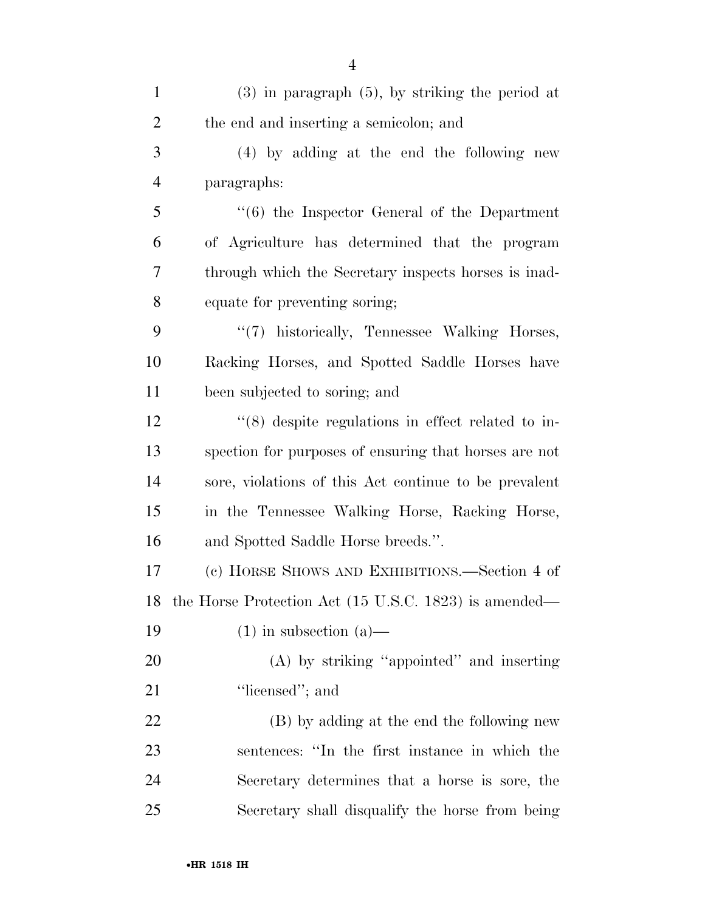| $\mathbf{1}$   | $(3)$ in paragraph $(5)$ , by striking the period at             |
|----------------|------------------------------------------------------------------|
| $\overline{2}$ | the end and inserting a semicolon; and                           |
| 3              | (4) by adding at the end the following new                       |
| $\overline{4}$ | paragraphs:                                                      |
| 5              | $\cdot\cdot\cdot(6)$ the Inspector General of the Department     |
| 6              | of Agriculture has determined that the program                   |
| 7              | through which the Secretary inspects horses is inad-             |
| 8              | equate for preventing soring;                                    |
| 9              | "(7) historically, Tennessee Walking Horses,                     |
| 10             | Racking Horses, and Spotted Saddle Horses have                   |
| 11             | been subjected to soring; and                                    |
| 12             | $\cdot\cdot$ (8) despite regulations in effect related to in-    |
| 13             | spection for purposes of ensuring that horses are not            |
| 14             | sore, violations of this Act continue to be prevalent            |
| 15             | in the Tennessee Walking Horse, Racking Horse,                   |
| 16             | and Spotted Saddle Horse breeds.".                               |
| 17             | (c) HORSE SHOWS AND EXHIBITIONS.—Section 4 of                    |
| 18             | the Horse Protection Act $(15 \text{ U.S.C. } 1823)$ is amended— |
| 19             | $(1)$ in subsection $(a)$ —                                      |
| 20             | (A) by striking "appointed" and inserting                        |
| 21             | "licensed"; and                                                  |
| 22             | (B) by adding at the end the following new                       |
| 23             | sentences: "In the first instance in which the                   |
| 24             | Secretary determines that a horse is sore, the                   |
| 25             | Secretary shall disqualify the horse from being                  |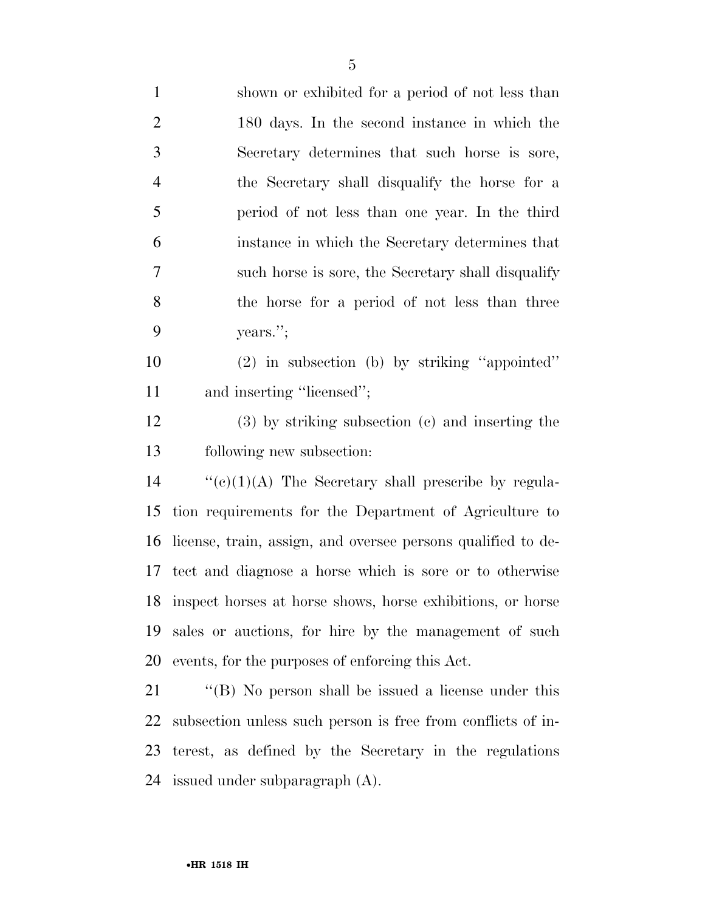shown or exhibited for a period of not less than 180 days. In the second instance in which the Secretary determines that such horse is sore, the Secretary shall disqualify the horse for a period of not less than one year. In the third instance in which the Secretary determines that such horse is sore, the Secretary shall disqualify the horse for a period of not less than three years.'';

 (2) in subsection (b) by striking ''appointed'' 11 and inserting "licensed";

 (3) by striking subsection (c) and inserting the following new subsection:

 ''(c)(1)(A) The Secretary shall prescribe by regula- tion requirements for the Department of Agriculture to license, train, assign, and oversee persons qualified to de- tect and diagnose a horse which is sore or to otherwise inspect horses at horse shows, horse exhibitions, or horse sales or auctions, for hire by the management of such events, for the purposes of enforcing this Act.

21 "'(B) No person shall be issued a license under this subsection unless such person is free from conflicts of in- terest, as defined by the Secretary in the regulations issued under subparagraph (A).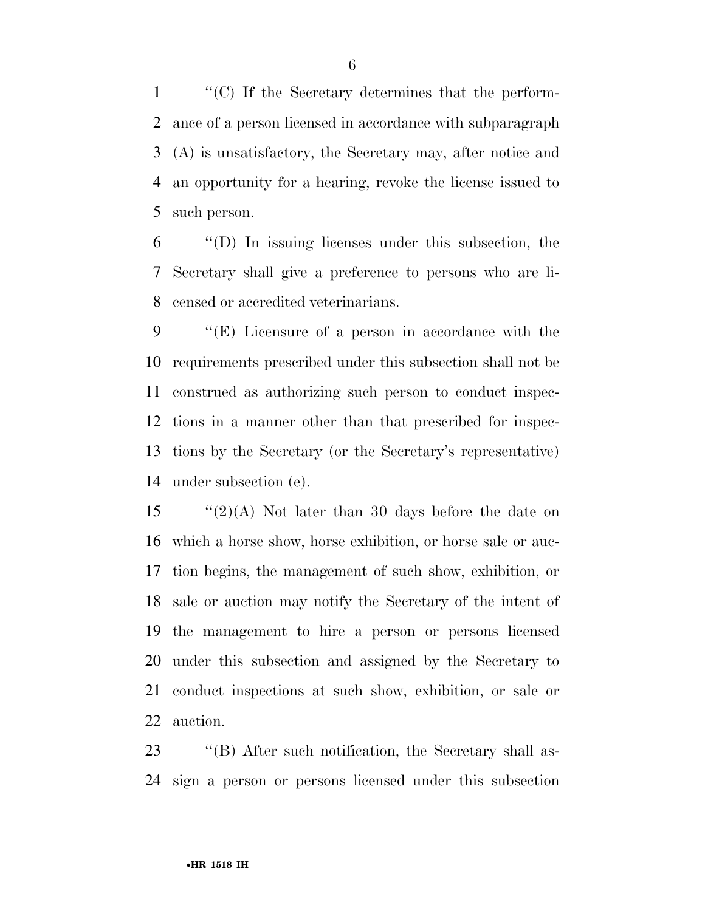''(C) If the Secretary determines that the perform- ance of a person licensed in accordance with subparagraph (A) is unsatisfactory, the Secretary may, after notice and an opportunity for a hearing, revoke the license issued to such person.

 ''(D) In issuing licenses under this subsection, the Secretary shall give a preference to persons who are li-censed or accredited veterinarians.

 ''(E) Licensure of a person in accordance with the requirements prescribed under this subsection shall not be construed as authorizing such person to conduct inspec- tions in a manner other than that prescribed for inspec- tions by the Secretary (or the Secretary's representative) under subsection (e).

 $\frac{15}{2}(2)$  Not later than 30 days before the date on which a horse show, horse exhibition, or horse sale or auc- tion begins, the management of such show, exhibition, or sale or auction may notify the Secretary of the intent of the management to hire a person or persons licensed under this subsection and assigned by the Secretary to conduct inspections at such show, exhibition, or sale or auction.

23 "'(B) After such notification, the Secretary shall as-sign a person or persons licensed under this subsection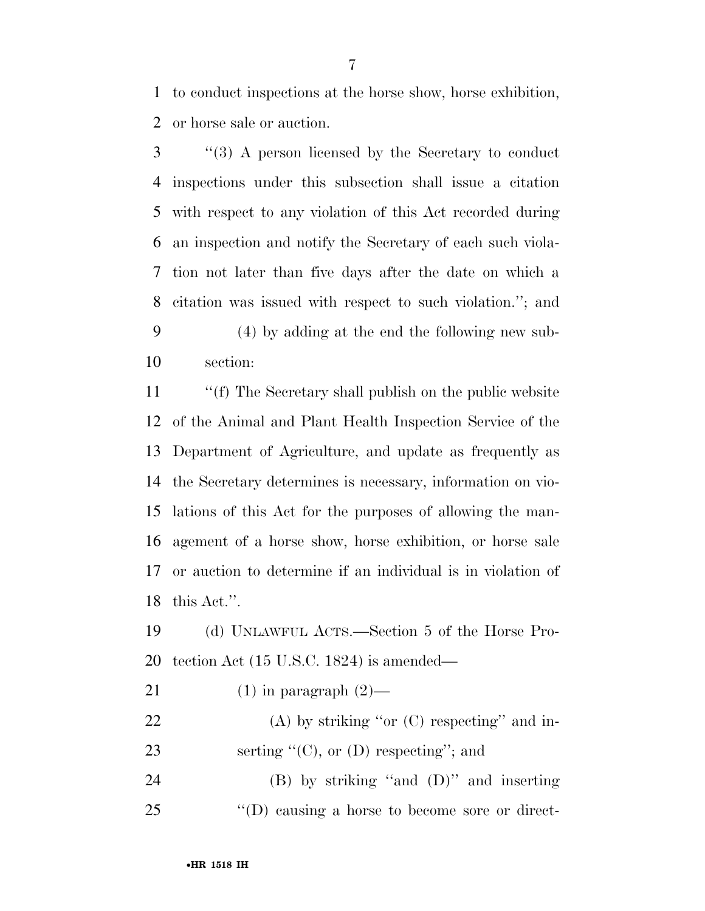to conduct inspections at the horse show, horse exhibition, or horse sale or auction.

 ''(3) A person licensed by the Secretary to conduct inspections under this subsection shall issue a citation with respect to any violation of this Act recorded during an inspection and notify the Secretary of each such viola- tion not later than five days after the date on which a citation was issued with respect to such violation.''; and (4) by adding at the end the following new sub-section:

11 ""(f) The Secretary shall publish on the public website of the Animal and Plant Health Inspection Service of the Department of Agriculture, and update as frequently as the Secretary determines is necessary, information on vio- lations of this Act for the purposes of allowing the man- agement of a horse show, horse exhibition, or horse sale or auction to determine if an individual is in violation of this Act.''.

 (d) UNLAWFUL ACTS.—Section 5 of the Horse Pro-tection Act (15 U.S.C. 1824) is amended—

- 21 (1) in paragraph  $(2)$ —
- 22 (A) by striking "or (C) respecting" and in-23 serting  $C^{\prime}(C)$ , or  $(D)$  respecting"; and

 (B) by striking ''and (D)'' and inserting ''(D) causing a horse to become sore or direct-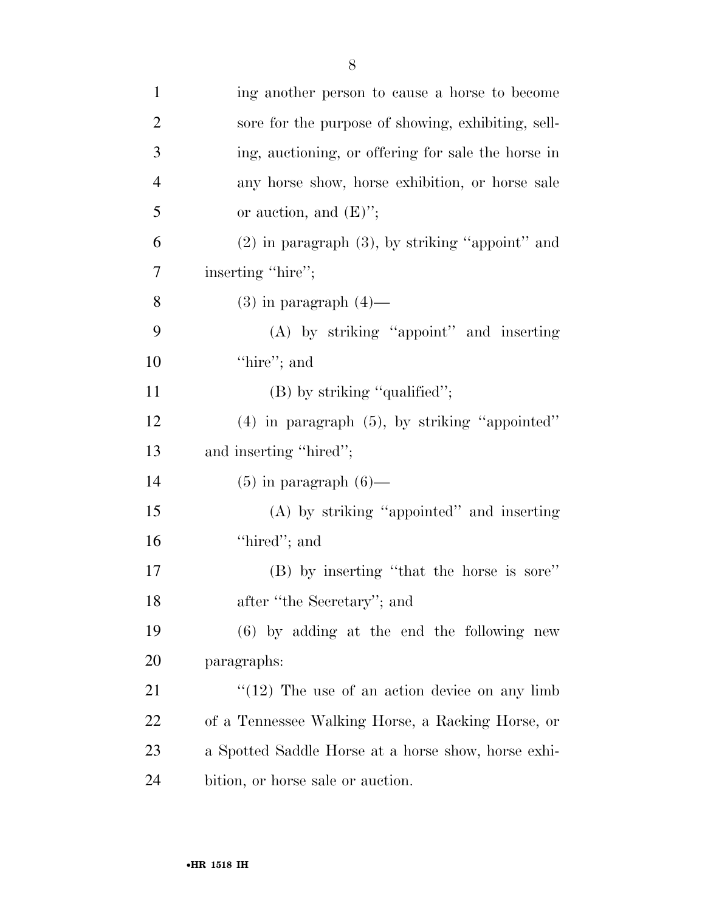| $\mathbf{1}$   | ing another person to cause a horse to become        |
|----------------|------------------------------------------------------|
| $\overline{2}$ | sore for the purpose of showing, exhibiting, sell-   |
| 3              | ing, auctioning, or offering for sale the horse in   |
| $\overline{4}$ | any horse show, horse exhibition, or horse sale      |
| 5              | or auction, and $(E)$ ";                             |
| 6              | $(2)$ in paragraph $(3)$ , by striking "appoint" and |
| 7              | inserting "hire";                                    |
| 8              | $(3)$ in paragraph $(4)$ —                           |
| 9              | $(A)$ by striking "appoint" and inserting            |
| 10             | "hire"; and                                          |
| 11             | $(B)$ by striking "qualified";                       |
| 12             | $(4)$ in paragraph $(5)$ , by striking "appointed"   |
| 13             | and inserting "hired";                               |
| 14             | $(5)$ in paragraph $(6)$ —                           |
| 15             | (A) by striking "appointed" and inserting            |
| 16             | "hired"; and                                         |
| 17             | (B) by inserting "that the horse is sore"            |
| 18             | after "the Secretary"; and                           |
| 19             | $(6)$ by adding at the end the following new         |
| 20             | paragraphs:                                          |
| 21             | " $(12)$ The use of an action device on any limb     |
| 22             | of a Tennessee Walking Horse, a Racking Horse, or    |
| 23             | a Spotted Saddle Horse at a horse show, horse exhi-  |
| 24             | bition, or horse sale or auction.                    |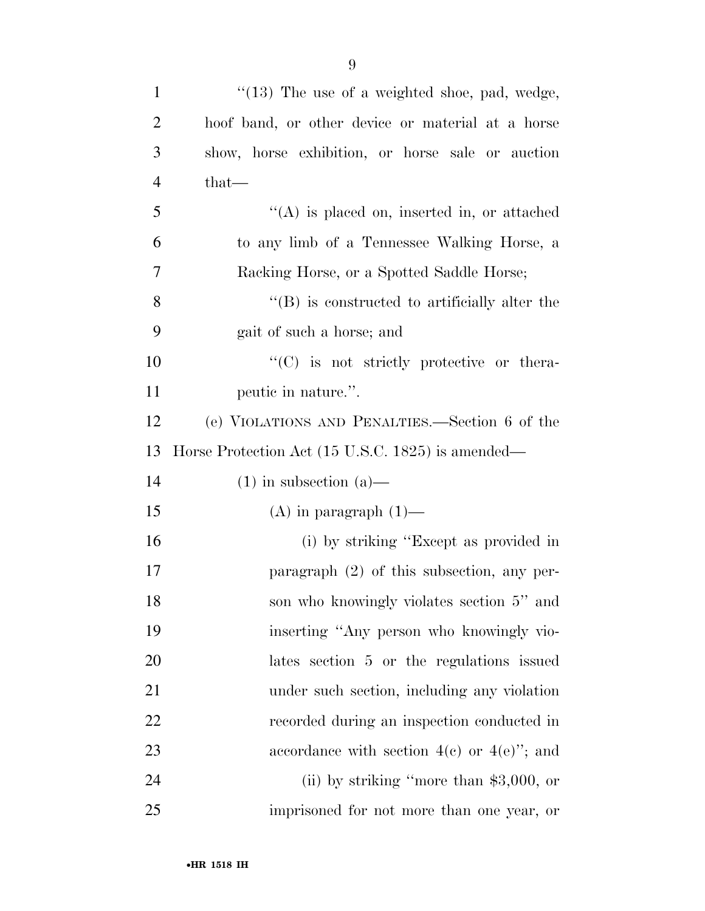| $\mathbf{1}$   | $\cdot$ (13) The use of a weighted shoe, pad, wedge, |
|----------------|------------------------------------------------------|
| $\overline{2}$ | hoof band, or other device or material at a horse    |
| 3              | show, horse exhibition, or horse sale or auction     |
| $\overline{4}$ | that—                                                |
| 5              | $\lq\lq$ is placed on, inserted in, or attached      |
| 6              | to any limb of a Tennessee Walking Horse, a          |
| 7              | Racking Horse, or a Spotted Saddle Horse;            |
| 8              | $\lq\lq$ is constructed to artificially alter the    |
| 9              | gait of such a horse; and                            |
| 10             | $\lq\lq$ (C) is not strictly protective or the ra-   |
| 11             | peutic in nature.".                                  |
| 12             | (e) VIOLATIONS AND PENALTIES.—Section 6 of the       |
| 13             | Horse Protection Act (15 U.S.C. 1825) is amended—    |
| 14             | $(1)$ in subsection $(a)$ —                          |
| 15             | $(A)$ in paragraph $(1)$ —                           |
| 16             | (i) by striking "Except as provided in               |
| 17             | paragraph $(2)$ of this subsection, any per-         |
| 18             | son who knowingly violates section 5" and            |
| 19             | inserting "Any person who knowingly vio-             |
| 20             | lates section 5 or the regulations issued            |
| 21             | under such section, including any violation          |
| 22             | recorded during an inspection conducted in           |
| 23             | accordance with section $4(e)$ or $4(e)$ "; and      |
| 24             | (ii) by striking "more than $$3,000$ , or            |
| 25             | imprisoned for not more than one year, or            |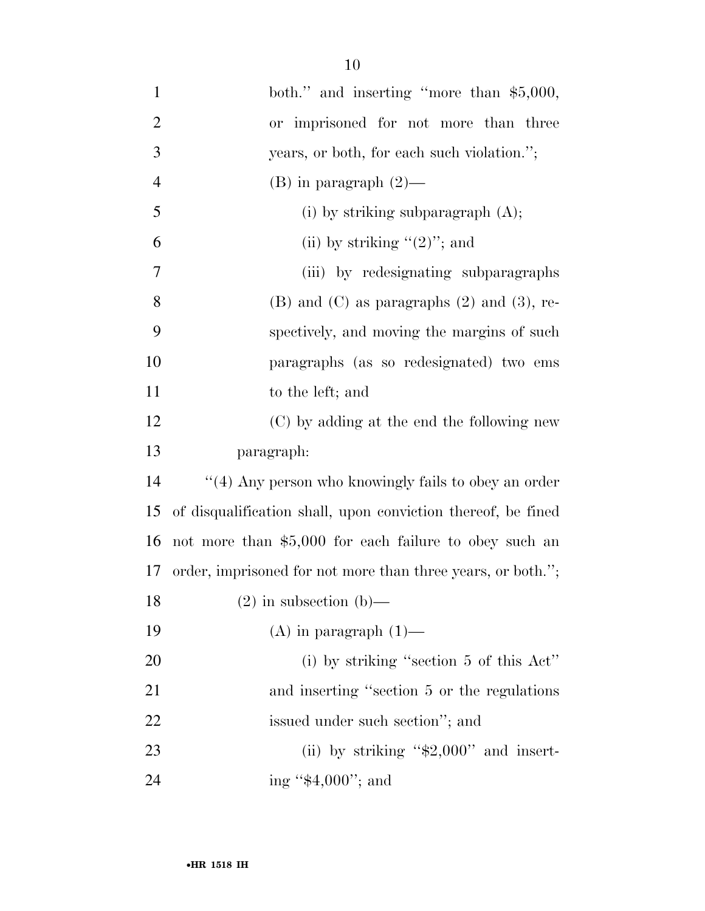| $\mathbf{1}$   | both." and inserting "more than \$5,000,                     |
|----------------|--------------------------------------------------------------|
| $\mathbf{2}$   | or imprisoned for not more than three                        |
| 3              | years, or both, for each such violation.";                   |
| $\overline{4}$ | $(B)$ in paragraph $(2)$ —                                   |
| 5              | (i) by striking subparagraph $(A)$ ;                         |
| 6              | (ii) by striking " $(2)$ "; and                              |
| $\overline{7}$ | (iii) by redesignating subparagraphs                         |
| 8              | $(B)$ and $(C)$ as paragraphs $(2)$ and $(3)$ , re-          |
| 9              | spectively, and moving the margins of such                   |
| 10             | paragraphs (as so redesignated) two ems                      |
| 11             | to the left; and                                             |
| 12             | (C) by adding at the end the following new                   |
| 13             | paragraph:                                                   |
| 14             | "(4) Any person who knowingly fails to obey an order         |
| 15             | of disqualification shall, upon conviction thereof, be fined |
| 16             | not more than \$5,000 for each failure to obey such an       |
| 17             | order, imprisoned for not more than three years, or both.";  |
| 18             | $(2)$ in subsection $(b)$ —                                  |
| 19             | $(A)$ in paragraph $(1)$ —                                   |
| 20             | (i) by striking "section $5$ of this Act"                    |
| 21             | and inserting "section 5 or the regulations"                 |
| 22             | issued under such section"; and                              |
| 23             | (ii) by striking " $$2,000"$ and insert-                     |
| 24             | ing " $$4,000"$ ; and                                        |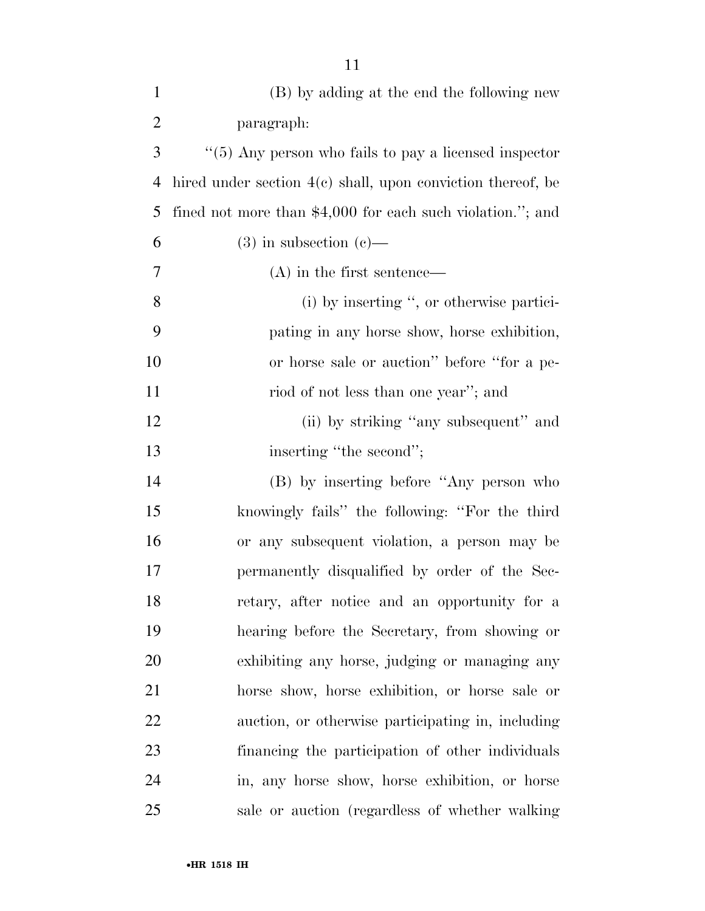| $\mathbf{1}$   | (B) by adding at the end the following new                   |
|----------------|--------------------------------------------------------------|
| $\overline{2}$ | paragraph:                                                   |
| 3              | $\lq\lq(5)$ Any person who fails to pay a licensed inspector |
| $\overline{4}$ | hired under section 4(c) shall, upon conviction thereof, be  |
| 5              | fined not more than $$4,000$ for each such violation."; and  |
| 6              | $(3)$ in subsection $(e)$ —                                  |
| 7              | $(A)$ in the first sentence—                                 |
| $8\,$          | (i) by inserting ", or otherwise partici-                    |
| 9              | pating in any horse show, horse exhibition,                  |
| 10             | or horse sale or auction" before "for a pe-                  |
| 11             | riod of not less than one year"; and                         |
| 12             | (ii) by striking "any subsequent" and                        |
| 13             | inserting "the second";                                      |
| 14             | (B) by inserting before "Any person who                      |
| 15             | knowingly fails" the following: "For the third               |
| 16             | or any subsequent violation, a person may be                 |
| 17             | permanently disqualified by order of the Sec-                |
| 18             | retary, after notice and an opportunity for a                |
| 19             | hearing before the Secretary, from showing or                |
| 20             | exhibiting any horse, judging or managing any                |
| 21             | horse show, horse exhibition, or horse sale or               |
| 22             | auction, or otherwise participating in, including            |
| 23             | financing the participation of other individuals             |
| 24             | in, any horse show, horse exhibition, or horse               |
| 25             | sale or auction (regardless of whether walking               |